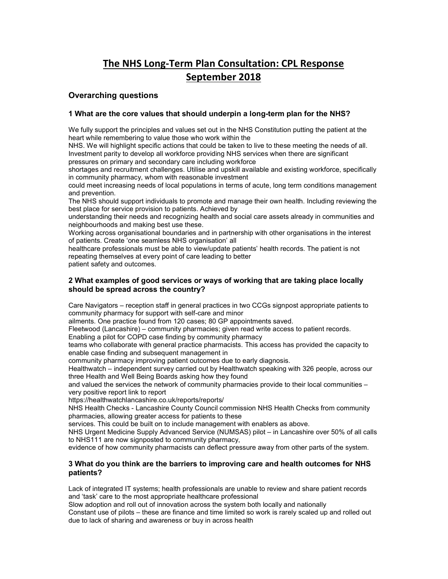# The NHS Long-Term Plan Consultation: CPL Response September 2018

# Overarching questions

# 1 What are the core values that should underpin a long-term plan for the NHS?

We fully support the principles and values set out in the NHS Constitution putting the patient at the heart while remembering to value those who work within the

NHS. We will highlight specific actions that could be taken to live to these meeting the needs of all. Investment parity to develop all workforce providing NHS services when there are significant pressures on primary and secondary care including workforce

shortages and recruitment challenges. Utilise and upskill available and existing workforce, specifically in community pharmacy, whom with reasonable investment

could meet increasing needs of local populations in terms of acute, long term conditions management and prevention.

The NHS should support individuals to promote and manage their own health. Including reviewing the best place for service provision to patients. Achieved by

understanding their needs and recognizing health and social care assets already in communities and neighbourhoods and making best use these.

Working across organisational boundaries and in partnership with other organisations in the interest of patients. Create 'one seamless NHS organisation' all

healthcare professionals must be able to view/update patients' health records. The patient is not repeating themselves at every point of care leading to better

patient safety and outcomes.

# 2 What examples of good services or ways of working that are taking place locally should be spread across the country?

Care Navigators – reception staff in general practices in two CCGs signpost appropriate patients to community pharmacy for support with self-care and minor

ailments. One practice found from 120 cases; 80 GP appointments saved.

Fleetwood (Lancashire) – community pharmacies; given read write access to patient records.

Enabling a pilot for COPD case finding by community pharmacy

teams who collaborate with general practice pharmacists. This access has provided the capacity to enable case finding and subsequent management in

community pharmacy improving patient outcomes due to early diagnosis.

Healthwatch – independent survey carried out by Healthwatch speaking with 326 people, across our three Health and Well Being Boards asking how they found

and valued the services the network of community pharmacies provide to their local communities – very positive report link to report

https://healthwatchlancashire.co.uk/reports/reports/

NHS Health Checks - Lancashire County Council commission NHS Health Checks from community pharmacies, allowing greater access for patients to these

services. This could be built on to include management with enablers as above.

NHS Urgent Medicine Supply Advanced Service (NUMSAS) pilot – in Lancashire over 50% of all calls to NHS111 are now signposted to community pharmacy,

evidence of how community pharmacists can deflect pressure away from other parts of the system.

# 3 What do you think are the barriers to improving care and health outcomes for NHS patients?

Lack of integrated IT systems; health professionals are unable to review and share patient records and 'task' care to the most appropriate healthcare professional

Slow adoption and roll out of innovation across the system both locally and nationally

Constant use of pilots – these are finance and time limited so work is rarely scaled up and rolled out due to lack of sharing and awareness or buy in across health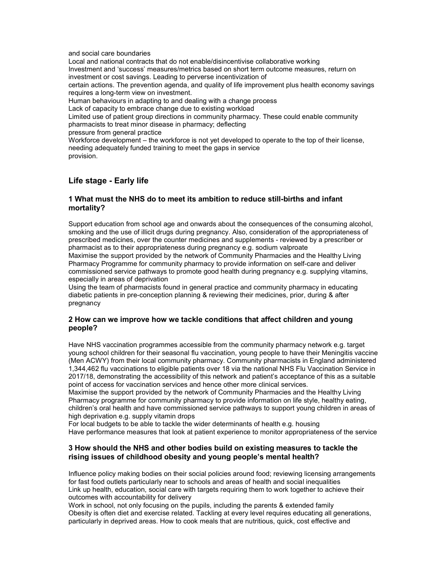and social care boundaries

Local and national contracts that do not enable/disincentivise collaborative working Investment and 'success' measures/metrics based on short term outcome measures, return on investment or cost savings. Leading to perverse incentivization of certain actions. The prevention agenda, and quality of life improvement plus health economy savings requires a long-term view on investment. Human behaviours in adapting to and dealing with a change process Lack of capacity to embrace change due to existing workload Limited use of patient group directions in community pharmacy. These could enable community pharmacists to treat minor disease in pharmacy; deflecting pressure from general practice Workforce development – the workforce is not yet developed to operate to the top of their license, needing adequately funded training to meet the gaps in service

# Life stage - Early life

provision.

# 1 What must the NHS do to meet its ambition to reduce still-births and infant mortality?

Support education from school age and onwards about the consequences of the consuming alcohol, smoking and the use of illicit drugs during pregnancy. Also, consideration of the appropriateness of prescribed medicines, over the counter medicines and supplements - reviewed by a prescriber or pharmacist as to their appropriateness during pregnancy e.g. sodium valproate Maximise the support provided by the network of Community Pharmacies and the Healthy Living Pharmacy Programme for community pharmacy to provide information on self-care and deliver

commissioned service pathways to promote good health during pregnancy e.g. supplying vitamins, especially in areas of deprivation

Using the team of pharmacists found in general practice and community pharmacy in educating diabetic patients in pre-conception planning & reviewing their medicines, prior, during & after pregnancy

# 2 How can we improve how we tackle conditions that affect children and young people?

Have NHS vaccination programmes accessible from the community pharmacy network e.g. target young school children for their seasonal flu vaccination, young people to have their Meningitis vaccine (Men ACWY) from their local community pharmacy. Community pharmacists in England administered 1,344,462 flu vaccinations to eligible patients over 18 via the national NHS Flu Vaccination Service in 2017/18, demonstrating the accessibility of this network and patient's acceptance of this as a suitable point of access for vaccination services and hence other more clinical services.

Maximise the support provided by the network of Community Pharmacies and the Healthy Living Pharmacy programme for community pharmacy to provide information on life style, healthy eating, children's oral health and have commissioned service pathways to support young children in areas of high deprivation e.g. supply vitamin drops

For local budgets to be able to tackle the wider determinants of health e.g. housing Have performance measures that look at patient experience to monitor appropriateness of the service

# 3 How should the NHS and other bodies build on existing measures to tackle the rising issues of childhood obesity and young people's mental health?

Influence policy making bodies on their social policies around food; reviewing licensing arrangements for fast food outlets particularly near to schools and areas of health and social inequalities Link up health, education, social care with targets requiring them to work together to achieve their outcomes with accountability for delivery

Work in school, not only focusing on the pupils, including the parents & extended family Obesity is often diet and exercise related. Tackling at every level requires educating all generations, particularly in deprived areas. How to cook meals that are nutritious, quick, cost effective and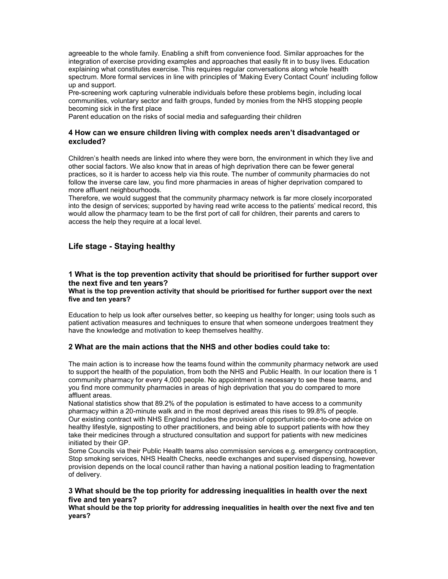agreeable to the whole family. Enabling a shift from convenience food. Similar approaches for the integration of exercise providing examples and approaches that easily fit in to busy lives. Education explaining what constitutes exercise. This requires regular conversations along whole health spectrum. More formal services in line with principles of 'Making Every Contact Count' including follow up and support.

Pre-screening work capturing vulnerable individuals before these problems begin, including local communities, voluntary sector and faith groups, funded by monies from the NHS stopping people becoming sick in the first place

Parent education on the risks of social media and safeguarding their children

# 4 How can we ensure children living with complex needs aren't disadvantaged or excluded?

Children's health needs are linked into where they were born, the environment in which they live and other social factors. We also know that in areas of high deprivation there can be fewer general practices, so it is harder to access help via this route. The number of community pharmacies do not follow the inverse care law, you find more pharmacies in areas of higher deprivation compared to more affluent neighbourhoods.

Therefore, we would suggest that the community pharmacy network is far more closely incorporated into the design of services; supported by having read write access to the patients' medical record, this would allow the pharmacy team to be the first port of call for children, their parents and carers to access the help they require at a local level.

# Life stage - Staying healthy

# 1 What is the top prevention activity that should be prioritised for further support over the next five and ten years?

What is the top prevention activity that should be prioritised for further support over the next five and ten years?

Education to help us look after ourselves better, so keeping us healthy for longer; using tools such as patient activation measures and techniques to ensure that when someone undergoes treatment they have the knowledge and motivation to keep themselves healthy.

# 2 What are the main actions that the NHS and other bodies could take to:

The main action is to increase how the teams found within the community pharmacy network are used to support the health of the population, from both the NHS and Public Health. In our location there is 1 community pharmacy for every 4,000 people. No appointment is necessary to see these teams, and you find more community pharmacies in areas of high deprivation that you do compared to more affluent areas.

National statistics show that 89.2% of the population is estimated to have access to a community pharmacy within a 20-minute walk and in the most deprived areas this rises to 99.8% of people. Our existing contract with NHS England includes the provision of opportunistic one-to-one advice on healthy lifestyle, signposting to other practitioners, and being able to support patients with how they take their medicines through a structured consultation and support for patients with new medicines initiated by their GP.

Some Councils via their Public Health teams also commission services e.g. emergency contraception, Stop smoking services, NHS Health Checks, needle exchanges and supervised dispensing, however provision depends on the local council rather than having a national position leading to fragmentation of delivery.

# 3 What should be the top priority for addressing inequalities in health over the next five and ten years?

What should be the top priority for addressing inequalities in health over the next five and ten years?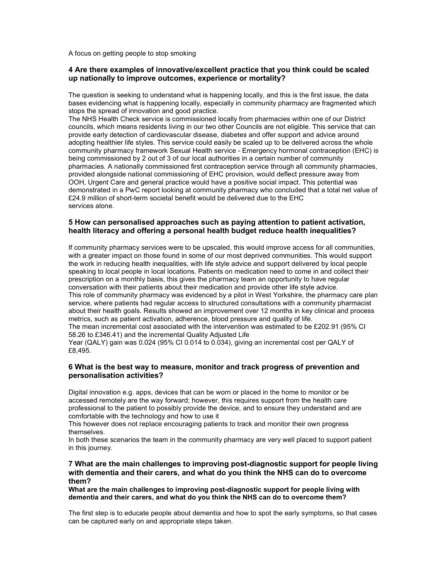A focus on getting people to stop smoking

# 4 Are there examples of innovative/excellent practice that you think could be scaled up nationally to improve outcomes, experience or mortality?

The question is seeking to understand what is happening locally, and this is the first issue, the data bases evidencing what is happening locally, especially in community pharmacy are fragmented which stops the spread of innovation and good practice.

The NHS Health Check service is commissioned locally from pharmacies within one of our District councils, which means residents living in our two other Councils are not eligible. This service that can provide early detection of cardiovascular disease, diabetes and offer support and advice around adopting healthier life styles. This service could easily be scaled up to be delivered across the whole community pharmacy framework Sexual Health service - Emergency hormonal contraception (EHC) is being commissioned by 2 out of 3 of our local authorities in a certain number of community pharmacies. A nationally commissioned first contraception service through all community pharmacies, provided alongside national commissioning of EHC provision, would deflect pressure away from OOH, Urgent Care and general practice would have a positive social impact. This potential was demonstrated in a PwC report looking at community pharmacy who concluded that a total net value of £24.9 million of short-term societal benefit would be delivered due to the EHC services alone.

# 5 How can personalised approaches such as paying attention to patient activation, health literacy and offering a personal health budget reduce health inequalities?

If community pharmacy services were to be upscaled, this would improve access for all communities, with a greater impact on those found in some of our most deprived communities. This would support the work in reducing health inequalities, with life style advice and support delivered by local people speaking to local people in local locations. Patients on medication need to come in and collect their prescription on a monthly basis, this gives the pharmacy team an opportunity to have regular conversation with their patients about their medication and provide other life style advice. This role of community pharmacy was evidenced by a pilot in West Yorkshire, the pharmacy care plan service, where patients had regular access to structured consultations with a community pharmacist about their health goals. Results showed an improvement over 12 months in key clinical and process metrics, such as patient activation, adherence, blood pressure and quality of life.

The mean incremental cost associated with the intervention was estimated to be £202.91 (95% CI 58.26 to £346.41) and the incremental Quality Adjusted Life

Year (QALY) gain was 0.024 (95% CI 0.014 to 0.034), giving an incremental cost per QALY of £8,495.

# 6 What is the best way to measure, monitor and track progress of prevention and personalisation activities?

Digital innovation e.g. apps, devices that can be worn or placed in the home to monitor or be accessed remotely are the way forward; however, this requires support from the health care professional to the patient to possibly provide the device, and to ensure they understand and are comfortable with the technology and how to use it

This however does not replace encouraging patients to track and monitor their own progress themselves.

In both these scenarios the team in the community pharmacy are very well placed to support patient in this journey.

#### 7 What are the main challenges to improving post-diagnostic support for people living with dementia and their carers, and what do you think the NHS can do to overcome them?

What are the main challenges to improving post-diagnostic support for people living with dementia and their carers, and what do you think the NHS can do to overcome them?

The first step is to educate people about dementia and how to spot the early symptoms, so that cases can be captured early on and appropriate steps taken.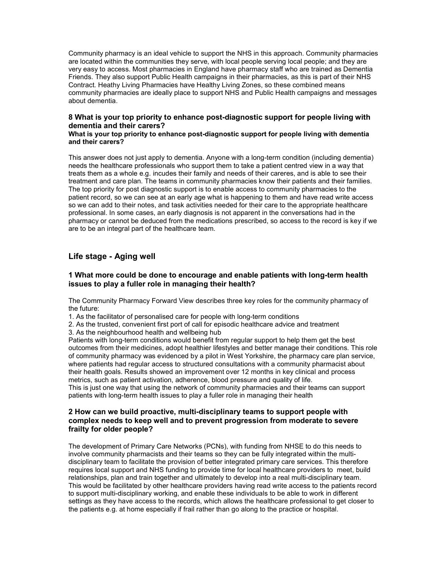Community pharmacy is an ideal vehicle to support the NHS in this approach. Community pharmacies are located within the communities they serve, with local people serving local people; and they are very easy to access. Most pharmacies in England have pharmacy staff who are trained as Dementia Friends. They also support Public Health campaigns in their pharmacies, as this is part of their NHS Contract. Heathy Living Pharmacies have Healthy Living Zones, so these combined means community pharmacies are ideally place to support NHS and Public Health campaigns and messages about dementia.

# 8 What is your top priority to enhance post-diagnostic support for people living with dementia and their carers?

#### What is your top priority to enhance post-diagnostic support for people living with dementia and their carers?

This answer does not just apply to dementia. Anyone with a long-term condition (including dementia) needs the healthcare professionals who support them to take a patient centred view in a way that treats them as a whole e.g. incudes their family and needs of their careres, and is able to see their treatment and care plan. The teams in community pharmacies know their patients and their families. The top priority for post diagnostic support is to enable access to community pharmacies to the patient record, so we can see at an early age what is happening to them and have read write access so we can add to their notes, and task activities needed for their care to the appropriate healthcare professional. In some cases, an early diagnosis is not apparent in the conversations had in the pharmacy or cannot be deduced from the medications prescribed, so access to the record is key if we are to be an integral part of the healthcare team.

# Life stage - Aging well

# 1 What more could be done to encourage and enable patients with long-term health issues to play a fuller role in managing their health?

The Community Pharmacy Forward View describes three key roles for the community pharmacy of the future:

1. As the facilitator of personalised care for people with long-term conditions

2. As the trusted, convenient first port of call for episodic healthcare advice and treatment

3. As the neighbourhood health and wellbeing hub

Patients with long-term conditions would benefit from regular support to help them get the best outcomes from their medicines, adopt healthier lifestyles and better manage their conditions. This role of community pharmacy was evidenced by a pilot in West Yorkshire, the pharmacy care plan service, where patients had regular access to structured consultations with a community pharmacist about their health goals. Results showed an improvement over 12 months in key clinical and process metrics, such as patient activation, adherence, blood pressure and quality of life. This is just one way that using the network of community pharmacies and their teams can support patients with long-term health issues to play a fuller role in managing their health

# 2 How can we build proactive, multi-disciplinary teams to support people with complex needs to keep well and to prevent progression from moderate to severe frailty for older people?

The development of Primary Care Networks (PCNs), with funding from NHSE to do this needs to involve community pharmacists and their teams so they can be fully integrated within the multidisciplinary team to facilitate the provision of better integrated primary care services. This therefore requires local support and NHS funding to provide time for local healthcare providers to meet, build relationships, plan and train together and ultimately to develop into a real multi-disciplinary team. This would be facilitated by other healthcare providers having read write access to the patients record to support multi-disciplinary working, and enable these individuals to be able to work in different settings as they have access to the records, which allows the healthcare professional to get closer to the patients e.g. at home especially if frail rather than go along to the practice or hospital.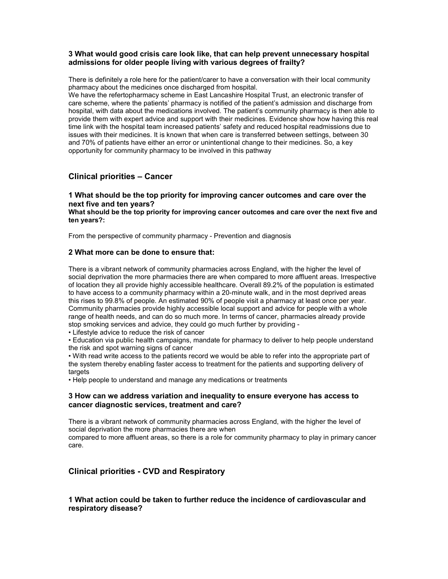# 3 What would good crisis care look like, that can help prevent unnecessary hospital admissions for older people living with various degrees of frailty?

There is definitely a role here for the patient/carer to have a conversation with their local community pharmacy about the medicines once discharged from hospital.

We have the refertopharmacy scheme in East Lancashire Hospital Trust, an electronic transfer of care scheme, where the patients' pharmacy is notified of the patient's admission and discharge from hospital, with data about the medications involved. The patient's community pharmacy is then able to provide them with expert advice and support with their medicines. Evidence show how having this real time link with the hospital team increased patients' safety and reduced hospital readmissions due to issues with their medicines. It is known that when care is transferred between settings, between 30 and 70% of patients have either an error or unintentional change to their medicines. So, a key opportunity for community pharmacy to be involved in this pathway

# Clinical priorities – Cancer

1 What should be the top priority for improving cancer outcomes and care over the next five and ten years?

What should be the top priority for improving cancer outcomes and care over the next five and ten years?:

From the perspective of community pharmacy - Prevention and diagnosis

#### 2 What more can be done to ensure that:

There is a vibrant network of community pharmacies across England, with the higher the level of social deprivation the more pharmacies there are when compared to more affluent areas. Irrespective of location they all provide highly accessible healthcare. Overall 89.2% of the population is estimated to have access to a community pharmacy within a 20-minute walk, and in the most deprived areas this rises to 99.8% of people. An estimated 90% of people visit a pharmacy at least once per year. Community pharmacies provide highly accessible local support and advice for people with a whole range of health needs, and can do so much more. In terms of cancer, pharmacies already provide stop smoking services and advice, they could go much further by providing -

• Lifestyle advice to reduce the risk of cancer

• Education via public health campaigns, mandate for pharmacy to deliver to help people understand the risk and spot warning signs of cancer

• With read write access to the patients record we would be able to refer into the appropriate part of the system thereby enabling faster access to treatment for the patients and supporting delivery of targets

• Help people to understand and manage any medications or treatments

#### 3 How can we address variation and inequality to ensure everyone has access to cancer diagnostic services, treatment and care?

There is a vibrant network of community pharmacies across England, with the higher the level of social deprivation the more pharmacies there are when compared to more affluent areas, so there is a role for community pharmacy to play in primary cancer care.

# Clinical priorities - CVD and Respiratory

# 1 What action could be taken to further reduce the incidence of cardiovascular and respiratory disease?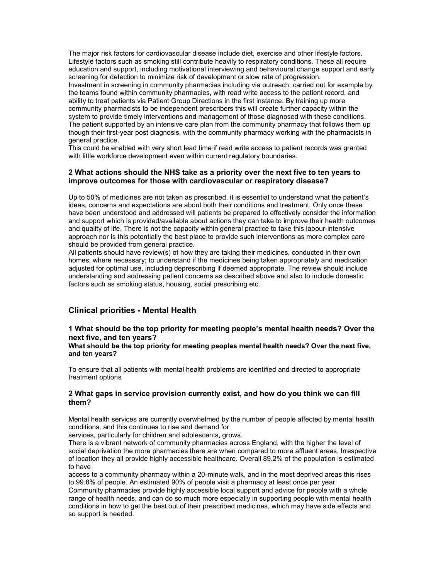The major risk factors for cardiovascular disease include diet, exercise and other lifestyle factors. Lifestyle factors such as smoking still contribute heavily to respiratory conditions. These all require education and support, including motivational interviewing and behavioural change support and early screening for detection to minimize risk of development or slow rate of progression. Investment in screening in community pharmacies including via outreach, carried out for example by the teams found within community pharmacies, with read write access to the patient record, and ability to treat patients via Patient Group Directions in the first instance. By training up more community pharmacists to be independent prescribers this will create further capacity within the system to provide timely interventions and management of those diagnosed with these conditions. The patient supported by an intensive care plan from the community pharmacy that follows them up though their first-year post diagnosis, with the community pharmacy working with the pharmacists in general practice.

This could be enabled with very short lead time if read write access to patient records was granted with little workforce development even within current regulatory boundaries.

#### 2 What actions should the NHS take as a priority over the next five to ten years to improve outcomes for those with cardiovascular or respiratory disease?

Up to 50% of medicines are not taken as prescribed, it is essential to understand what the patient's ideas, concerns and expectations are about both their conditions and treatment. Only once these have been understood and addressed will patients be prepared to effectively consider the information and support which is provided/available about actions they can take to improve their health outcomes and quality of life. There is not the capacity within general practice to take this labour-intensive approach nor is this potentially the best place to provide such interventions as more complex care should be provided from general practice.

All patients should have review(s) of how they are taking their medicines, conducted in their own homes, where necessary; to understand if the medicines being taken appropriately and medication adjusted for optimal use, including deprescribing if deemed appropriate. The review should include understanding and addressing patient concerns as described above and also to include domestic factors such as smoking status, housing, social prescribing etc.

# Clinical priorities - Mental Health

1 What should be the top priority for meeting people's mental health needs? Over the next five, and ten years?

What should be the top priority for meeting peoples mental health needs? Over the next five, and ten years?

To ensure that all patients with mental health problems are identified and directed to appropriate treatment options

#### 2 What gaps in service provision currently exist, and how do you think we can fill them?

Mental health services are currently overwhelmed by the number of people affected by mental health conditions, and this continues to rise and demand for

services, particularly for children and adolescents, grows.

There is a vibrant network of community pharmacies across England, with the higher the level of social deprivation the more pharmacies there are when compared to more affluent areas. Irrespective of location they all provide highly accessible healthcare. Overall 89.2% of the population is estimated to have

access to a community pharmacy within a 20-minute walk, and in the most deprived areas this rises to 99.8% of people. An estimated 90% of people visit a pharmacy at least once per year.

Community pharmacies provide highly accessible local support and advice for people with a whole range of health needs, and can do so much more especially in supporting people with mental health conditions in how to get the best out of their prescribed medicines, which may have side effects and so support is needed.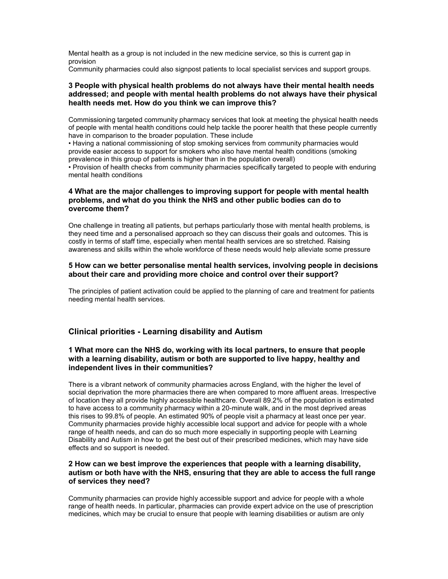Mental health as a group is not included in the new medicine service, so this is current gap in provision

Community pharmacies could also signpost patients to local specialist services and support groups.

#### 3 People with physical health problems do not always have their mental health needs addressed; and people with mental health problems do not always have their physical health needs met. How do you think we can improve this?

Commissioning targeted community pharmacy services that look at meeting the physical health needs of people with mental health conditions could help tackle the poorer health that these people currently have in comparison to the broader population. These include

• Having a national commissioning of stop smoking services from community pharmacies would provide easier access to support for smokers who also have mental health conditions (smoking prevalence in this group of patients is higher than in the population overall)

• Provision of health checks from community pharmacies specifically targeted to people with enduring mental health conditions

# 4 What are the major challenges to improving support for people with mental health problems, and what do you think the NHS and other public bodies can do to overcome them?

One challenge in treating all patients, but perhaps particularly those with mental health problems, is they need time and a personalised approach so they can discuss their goals and outcomes. This is costly in terms of staff time, especially when mental health services are so stretched. Raising awareness and skills within the whole workforce of these needs would help alleviate some pressure

#### 5 How can we better personalise mental health services, involving people in decisions about their care and providing more choice and control over their support?

The principles of patient activation could be applied to the planning of care and treatment for patients needing mental health services.

# Clinical priorities - Learning disability and Autism

# 1 What more can the NHS do, working with its local partners, to ensure that people with a learning disability, autism or both are supported to live happy, healthy and independent lives in their communities?

There is a vibrant network of community pharmacies across England, with the higher the level of social deprivation the more pharmacies there are when compared to more affluent areas. Irrespective of location they all provide highly accessible healthcare. Overall 89.2% of the population is estimated to have access to a community pharmacy within a 20-minute walk, and in the most deprived areas this rises to 99.8% of people. An estimated 90% of people visit a pharmacy at least once per year. Community pharmacies provide highly accessible local support and advice for people with a whole range of health needs, and can do so much more especially in supporting people with Learning Disability and Autism in how to get the best out of their prescribed medicines, which may have side effects and so support is needed.

# 2 How can we best improve the experiences that people with a learning disability, autism or both have with the NHS, ensuring that they are able to access the full range of services they need?

Community pharmacies can provide highly accessible support and advice for people with a whole range of health needs. In particular, pharmacies can provide expert advice on the use of prescription medicines, which may be crucial to ensure that people with learning disabilities or autism are only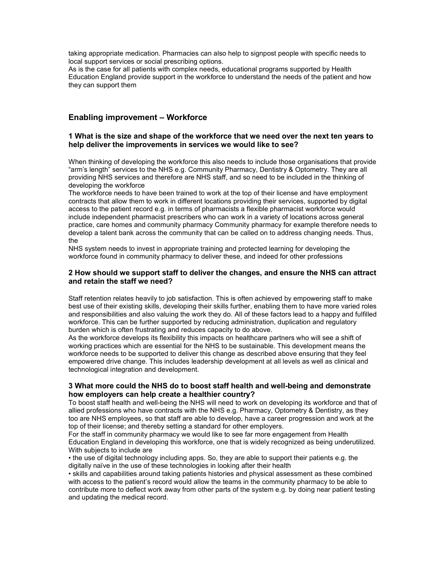taking appropriate medication. Pharmacies can also help to signpost people with specific needs to local support services or social prescribing options.

As is the case for all patients with complex needs, educational programs supported by Health Education England provide support in the workforce to understand the needs of the patient and how they can support them

# Enabling improvement – Workforce

#### 1 What is the size and shape of the workforce that we need over the next ten years to help deliver the improvements in services we would like to see?

When thinking of developing the workforce this also needs to include those organisations that provide "arm's length" services to the NHS e.g. Community Pharmacy, Dentistry & Optometry. They are all providing NHS services and therefore are NHS staff, and so need to be included in the thinking of developing the workforce

The workforce needs to have been trained to work at the top of their license and have employment contracts that allow them to work in different locations providing their services, supported by digital access to the patient record e.g. in terms of pharmacists a flexible pharmacist workforce would include independent pharmacist prescribers who can work in a variety of locations across general practice, care homes and community pharmacy Community pharmacy for example therefore needs to develop a talent bank across the community that can be called on to address changing needs. Thus, the

NHS system needs to invest in appropriate training and protected learning for developing the workforce found in community pharmacy to deliver these, and indeed for other professions

#### 2 How should we support staff to deliver the changes, and ensure the NHS can attract and retain the staff we need?

Staff retention relates heavily to job satisfaction. This is often achieved by empowering staff to make best use of their existing skills, developing their skills further, enabling them to have more varied roles and responsibilities and also valuing the work they do. All of these factors lead to a happy and fulfilled workforce. This can be further supported by reducing administration, duplication and regulatory burden which is often frustrating and reduces capacity to do above.

As the workforce develops its flexibility this impacts on healthcare partners who will see a shift of working practices which are essential for the NHS to be sustainable. This development means the workforce needs to be supported to deliver this change as described above ensuring that they feel empowered drive change. This includes leadership development at all levels as well as clinical and technological integration and development.

#### 3 What more could the NHS do to boost staff health and well-being and demonstrate how employers can help create a healthier country?

To boost staff health and well-being the NHS will need to work on developing its workforce and that of allied professions who have contracts with the NHS e.g. Pharmacy, Optometry & Dentistry, as they too are NHS employees, so that staff are able to develop, have a career progression and work at the top of their license; and thereby setting a standard for other employers.

For the staff in community pharmacy we would like to see far more engagement from Health Education England in developing this workforce, one that is widely recognized as being underutilized. With subjects to include are

• the use of digital technology including apps. So, they are able to support their patients e.g. the digitally naïve in the use of these technologies in looking after their health

• skills and capabilities around taking patients histories and physical assessment as these combined with access to the patient's record would allow the teams in the community pharmacy to be able to contribute more to deflect work away from other parts of the system e.g. by doing near patient testing and updating the medical record.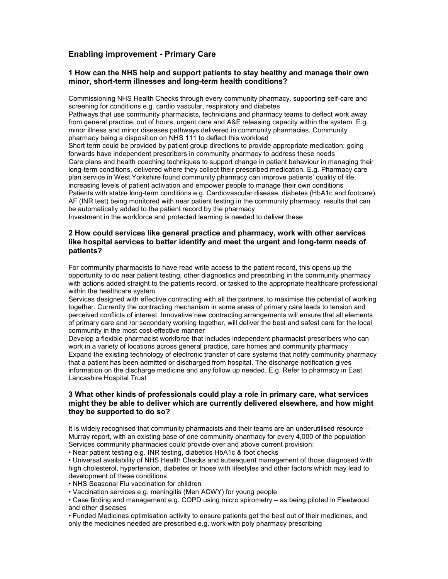# Enabling improvement - Primary Care

#### 1 How can the NHS help and support patients to stay healthy and manage their own minor, short-term illnesses and long-term health conditions?

Commissioning NHS Health Checks through every community pharmacy, supporting self-care and screening for conditions e.g. cardio vascular, respiratory and diabetes

Pathways that use community pharmacists, technicians and pharmacy teams to deflect work away from general practice, out of hours, urgent care and A&E releasing capacity within the system. E.g. minor illness and minor diseases pathways delivered in community pharmacies. Community pharmacy being a disposition on NHS 111 to deflect this workload

Short term could be provided by patient group directions to provide appropriate medication; going forwards have independent prescribers in community pharmacy to address these needs Care plans and health coaching techniques to support change in patient behaviour in managing their long-term conditions, delivered where they collect their prescribed medication. E.g. Pharmacy care plan service in West Yorkshire found community pharmacy can improve patients' quality of life, increasing levels of patient activation and empower people to manage their own conditions Patients with stable long-term conditions e.g. Cardiovascular disease, diabetes (HbA1c and footcare), AF (INR test) being monitored with near patient testing in the community pharmacy, results that can be automatically added to the patient record by the pharmacy

Investment in the workforce and protected learning is needed to deliver these

# 2 How could services like general practice and pharmacy, work with other services like hospital services to better identify and meet the urgent and long-term needs of patients?

For community pharmacists to have read write access to the patient record, this opens up the opportunity to do near patient testing, other diagnostics and prescribing in the community pharmacy with actions added straight to the patients record, or tasked to the appropriate healthcare professional within the healthcare system

Services designed with effective contracting with all the partners, to maximise the potential of working together. Currently the contracting mechanism in some areas of primary care leads to tension and perceived conflicts of interest. Innovative new contracting arrangements will ensure that all elements of primary care and /or secondary working together, will deliver the best and safest care for the local community in the most cost-effective manner

Develop a flexible pharmacist workforce that includes independent pharmacist prescribers who can work in a variety of locations across general practice, care homes and community pharmacy Expand the existing technology of electronic transfer of care systems that notify community pharmacy that a patient has been admitted or discharged from hospital. The discharge notification gives information on the discharge medicine and any follow up needed. E.g. Refer to pharmacy in East Lancashire Hospital Trust

# 3 What other kinds of professionals could play a role in primary care, what services might they be able to deliver which are currently delivered elsewhere, and how might they be supported to do so?

It is widely recognised that community pharmacists and their teams are an underutilised resource – Murray report, with an existing base of one community pharmacy for every 4,000 of the population Services community pharmacies could provide over and above current provision:

• Near patient testing e.g. INR testing, diabetics HbA1c & foot checks

• Universal availability of NHS Health Checks and subsequent management of those diagnosed with high cholesterol, hypertension, diabetes or those with lifestyles and other factors which may lead to development of these conditions

• NHS Seasonal Flu vaccination for children

• Vaccination services e.g. meningitis (Men ACWY) for young people

• Case finding and management e.g. COPD using micro spirometry – as being piloted in Fleetwood and other diseases

• Funded Medicines optimisation activity to ensure patients get the best out of their medicines, and only the medicines needed are prescribed e.g. work with poly pharmacy prescribing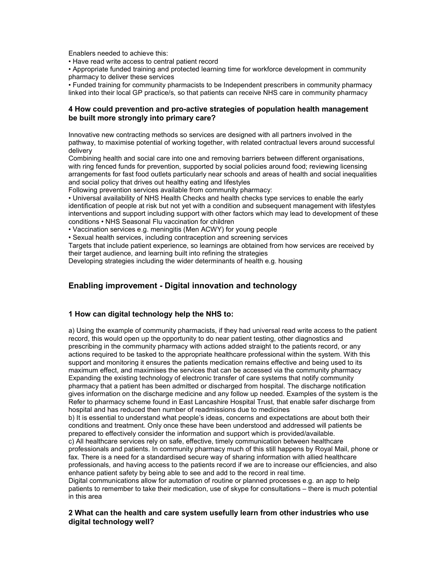Enablers needed to achieve this:

• Have read write access to central patient record

• Appropriate funded training and protected learning time for workforce development in community pharmacy to deliver these services

• Funded training for community pharmacists to be Independent prescribers in community pharmacy linked into their local GP practice/s, so that patients can receive NHS care in community pharmacy

# 4 How could prevention and pro-active strategies of population health management be built more strongly into primary care?

Innovative new contracting methods so services are designed with all partners involved in the pathway, to maximise potential of working together, with related contractual levers around successful delivery

Combining health and social care into one and removing barriers between different organisations, with ring fenced funds for prevention, supported by social policies around food; reviewing licensing arrangements for fast food outlets particularly near schools and areas of health and social inequalities and social policy that drives out healthy eating and lifestyles

Following prevention services available from community pharmacy:

• Universal availability of NHS Health Checks and health checks type services to enable the early identification of people at risk but not yet with a condition and subsequent management with lifestyles interventions and support including support with other factors which may lead to development of these conditions • NHS Seasonal Flu vaccination for children

• Vaccination services e.g. meningitis (Men ACWY) for young people

• Sexual health services, including contraception and screening services

Targets that include patient experience, so learnings are obtained from how services are received by their target audience, and learning built into refining the strategies

Developing strategies including the wider determinants of health e.g. housing

# Enabling improvement - Digital innovation and technology

# 1 How can digital technology help the NHS to:

a) Using the example of community pharmacists, if they had universal read write access to the patient record, this would open up the opportunity to do near patient testing, other diagnostics and prescribing in the community pharmacy with actions added straight to the patients record, or any actions required to be tasked to the appropriate healthcare professional within the system. With this support and monitoring it ensures the patients medication remains effective and being used to its maximum effect, and maximises the services that can be accessed via the community pharmacy Expanding the existing technology of electronic transfer of care systems that notify community pharmacy that a patient has been admitted or discharged from hospital. The discharge notification gives information on the discharge medicine and any follow up needed. Examples of the system is the Refer to pharmacy scheme found in East Lancashire Hospital Trust, that enable safer discharge from hospital and has reduced then number of readmissions due to medicines

b) It is essential to understand what people's ideas, concerns and expectations are about both their conditions and treatment. Only once these have been understood and addressed will patients be prepared to effectively consider the information and support which is provided/available. c) All healthcare services rely on safe, effective, timely communication between healthcare

professionals and patients. In community pharmacy much of this still happens by Royal Mail, phone or fax. There is a need for a standardised secure way of sharing information with allied healthcare professionals, and having access to the patients record if we are to increase our efficiencies, and also enhance patient safety by being able to see and add to the record in real time.

Digital communications allow for automation of routine or planned processes e.g. an app to help patients to remember to take their medication, use of skype for consultations – there is much potential in this area

# 2 What can the health and care system usefully learn from other industries who use digital technology well?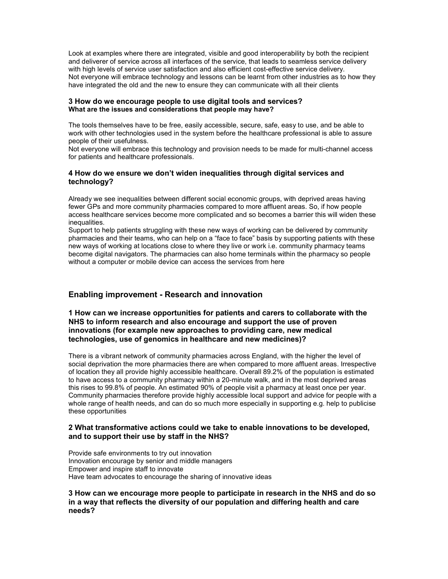Look at examples where there are integrated, visible and good interoperability by both the recipient and deliverer of service across all interfaces of the service, that leads to seamless service delivery with high levels of service user satisfaction and also efficient cost-effective service delivery. Not everyone will embrace technology and lessons can be learnt from other industries as to how they have integrated the old and the new to ensure they can communicate with all their clients

#### 3 How do we encourage people to use digital tools and services? What are the issues and considerations that people may have?

The tools themselves have to be free, easily accessible, secure, safe, easy to use, and be able to work with other technologies used in the system before the healthcare professional is able to assure people of their usefulness.

Not everyone will embrace this technology and provision needs to be made for multi-channel access for patients and healthcare professionals.

# 4 How do we ensure we don't widen inequalities through digital services and technology?

Already we see inequalities between different social economic groups, with deprived areas having fewer GPs and more community pharmacies compared to more affluent areas. So, if how people access healthcare services become more complicated and so becomes a barrier this will widen these inequalities.

Support to help patients struggling with these new ways of working can be delivered by community pharmacies and their teams, who can help on a "face to face" basis by supporting patients with these new ways of working at locations close to where they live or work i.e. community pharmacy teams become digital navigators. The pharmacies can also home terminals within the pharmacy so people without a computer or mobile device can access the services from here

# Enabling improvement - Research and innovation

# 1 How can we increase opportunities for patients and carers to collaborate with the NHS to inform research and also encourage and support the use of proven innovations (for example new approaches to providing care, new medical technologies, use of genomics in healthcare and new medicines)?

There is a vibrant network of community pharmacies across England, with the higher the level of social deprivation the more pharmacies there are when compared to more affluent areas. Irrespective of location they all provide highly accessible healthcare. Overall 89.2% of the population is estimated to have access to a community pharmacy within a 20-minute walk, and in the most deprived areas this rises to 99.8% of people. An estimated 90% of people visit a pharmacy at least once per year. Community pharmacies therefore provide highly accessible local support and advice for people with a whole range of health needs, and can do so much more especially in supporting e.g. help to publicise these opportunities

# 2 What transformative actions could we take to enable innovations to be developed, and to support their use by staff in the NHS?

Provide safe environments to try out innovation Innovation encourage by senior and middle managers Empower and inspire staff to innovate Have team advocates to encourage the sharing of innovative ideas

# 3 How can we encourage more people to participate in research in the NHS and do so in a way that reflects the diversity of our population and differing health and care needs?